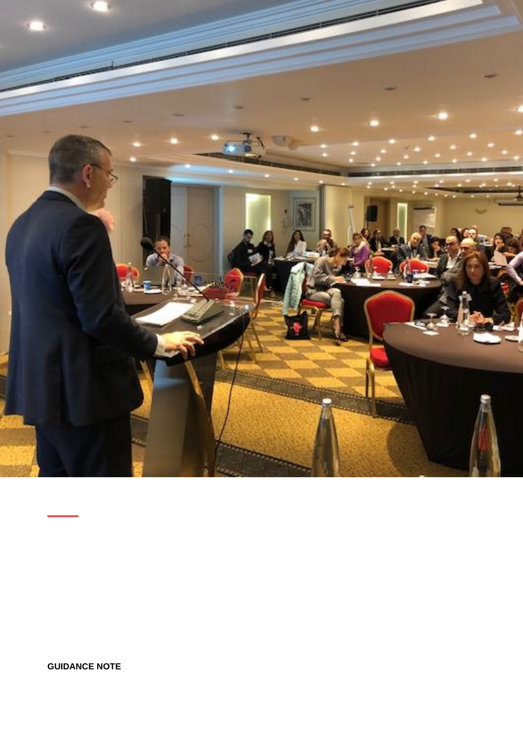

**GUIDANCE NOTE**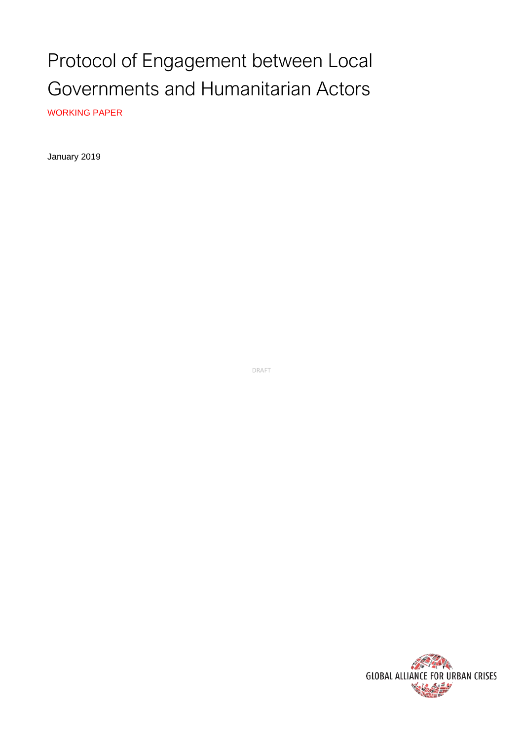# Protocol of Engagement between Local Governments and Humanitarian Actors

WORKING PAPER

January 2019

DRAFT

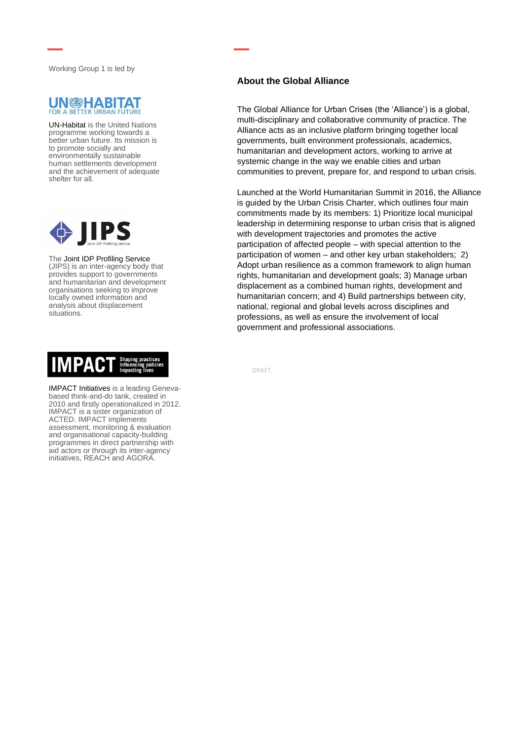Working Group 1 is led by



UN-Habitat is the United Nations programme working towards a better urban future. Its mission is to promote socially and environmentally sustainable human settlements development and the achievement of adequate shelter for all.



The Joint IDP Profiling Service (JIPS) is an inter-agency body that provides support to governments and humanitarian and development organisations seeking to improve locally owned information and analysis about displacement situations.



IMPACT Initiatives is a leading Genevabased think-and-do tank, created in 2010 and firstly operationalized in 2012. IMPACT is a sister organization of ACTED. IMPACT implements assessment, monitoring & evaluation and organisational capacity-building programmes in direct partnership with aid actors or through its inter-agency initiatives, REACH and AGORA.

#### **About the Global Alliance**

The Global Alliance for Urban Crises (the 'Alliance') is a global, multi-disciplinary and collaborative community of practice. The Alliance acts as an inclusive platform bringing together local governments, built environment professionals, academics, humanitarian and development actors, working to arrive at systemic change in the way we enable cities and urban communities to prevent, prepare for, and respond to urban crisis.

Launched at the World Humanitarian Summit in 2016, the Alliance is guided by the Urban Crisis Charter, which outlines four main commitments made by its members: 1) Prioritize local municipal leadership in determining response to urban crisis that is aligned with development trajectories and promotes the active participation of affected people – with special attention to the participation of women – and other key urban stakeholders; 2) Adopt urban resilience as a common framework to align human rights, humanitarian and development goals; 3) Manage urban displacement as a combined human rights, development and humanitarian concern; and 4) Build partnerships between city, national, regional and global levels across disciplines and professions, as well as ensure the involvement of local government and professional associations.

DRAFT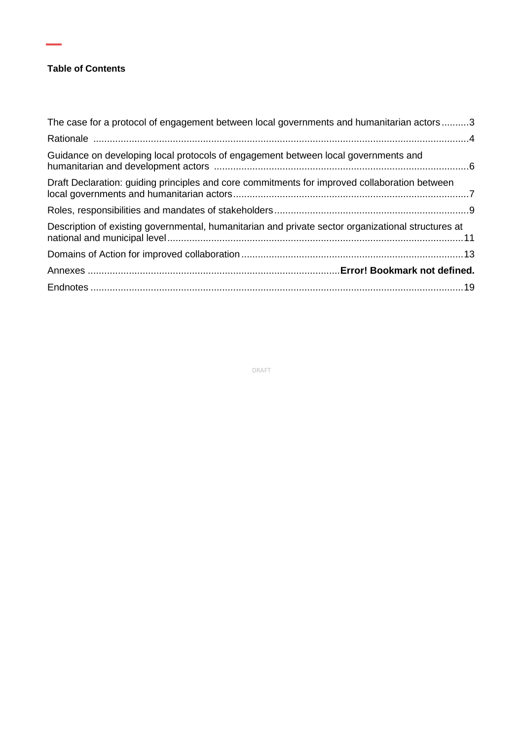#### **Table of Contents**

۰

| The case for a protocol of engagement between local governments and humanitarian actors3           |  |
|----------------------------------------------------------------------------------------------------|--|
|                                                                                                    |  |
| Guidance on developing local protocols of engagement between local governments and                 |  |
| Draft Declaration: guiding principles and core commitments for improved collaboration between      |  |
|                                                                                                    |  |
| Description of existing governmental, humanitarian and private sector organizational structures at |  |
|                                                                                                    |  |
|                                                                                                    |  |
|                                                                                                    |  |

DRAFT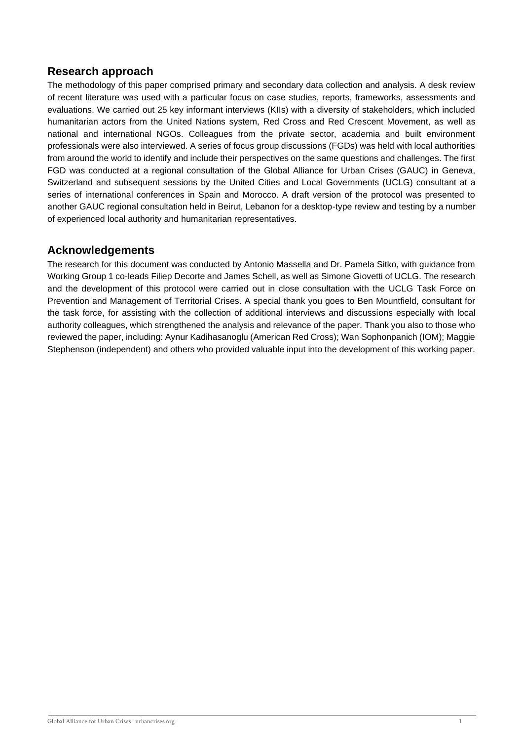## **Research approach**

The methodology of this paper comprised primary and secondary data collection and analysis. A desk review of recent literature was used with a particular focus on case studies, reports, frameworks, assessments and evaluations. We carried out 25 key informant interviews (KIIs) with a diversity of stakeholders, which included humanitarian actors from the United Nations system, Red Cross and Red Crescent Movement, as well as national and international NGOs. Colleagues from the private sector, academia and built environment professionals were also interviewed. A series of focus group discussions (FGDs) was held with local authorities from around the world to identify and include their perspectives on the same questions and challenges. The first FGD was conducted at a regional consultation of the Global Alliance for Urban Crises (GAUC) in Geneva, Switzerland and subsequent sessions by the United Cities and Local Governments (UCLG) consultant at a series of international conferences in Spain and Morocco. A draft version of the protocol was presented to another GAUC regional consultation held in Beirut, Lebanon for a desktop-type review and testing by a number of experienced local authority and humanitarian representatives.

## **Acknowledgements**

The research for this document was conducted by Antonio Massella and Dr. Pamela Sitko, with guidance from Working Group 1 co-leads Filiep Decorte and James Schell, as well as Simone Giovetti of UCLG. The research and the development of this protocol were carried out in close consultation with the UCLG Task Force on Prevention and Management of Territorial Crises. A special thank you goes to Ben Mountfield, consultant for the task force, for assisting with the collection of additional interviews and discussions especially with local authority colleagues, which strengthened the analysis and relevance of the paper. Thank you also to those who reviewed the paper, including: Aynur Kadihasanoglu (American Red Cross); Wan Sophonpanich (IOM); Maggie Stephenson (independent) and others who provided valuable input into the development of this working paper.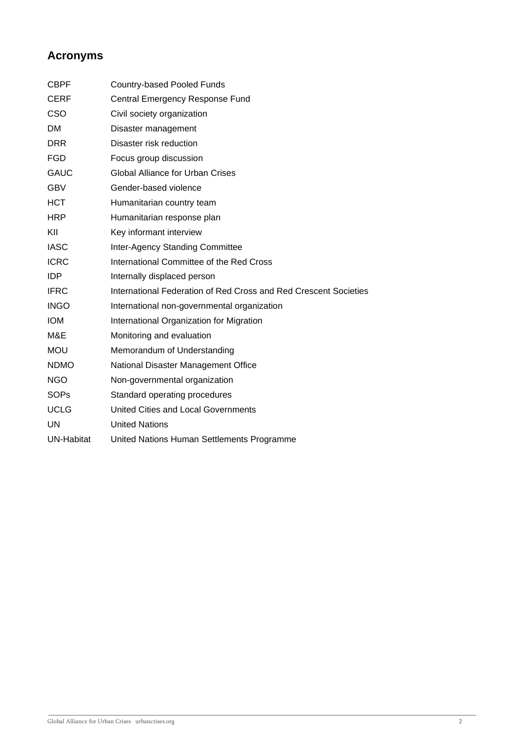# **Acronyms**

| <b>CBPF</b> | <b>Country-based Pooled Funds</b>                                |
|-------------|------------------------------------------------------------------|
| <b>CERF</b> | Central Emergency Response Fund                                  |
| CSO         | Civil society organization                                       |
| <b>DM</b>   | Disaster management                                              |
| <b>DRR</b>  | Disaster risk reduction                                          |
| <b>FGD</b>  | Focus group discussion                                           |
| <b>GAUC</b> | <b>Global Alliance for Urban Crises</b>                          |
| <b>GBV</b>  | Gender-based violence                                            |
| <b>HCT</b>  | Humanitarian country team                                        |
| <b>HRP</b>  | Humanitarian response plan                                       |
| KII         | Key informant interview                                          |
| <b>IASC</b> | Inter-Agency Standing Committee                                  |
| <b>ICRC</b> | International Committee of the Red Cross                         |
| <b>IDP</b>  | Internally displaced person                                      |
| <b>IFRC</b> | International Federation of Red Cross and Red Crescent Societies |
| <b>INGO</b> | International non-governmental organization                      |
| <b>IOM</b>  | International Organization for Migration                         |
| M&E         | Monitoring and evaluation                                        |
| <b>MOU</b>  | Memorandum of Understanding                                      |
| <b>NDMO</b> | National Disaster Management Office                              |
| <b>NGO</b>  | Non-governmental organization                                    |
| <b>SOPs</b> | Standard operating procedures                                    |
| <b>UCLG</b> | United Cities and Local Governments                              |
| UN          | <b>United Nations</b>                                            |
| UN-Habitat  | United Nations Human Settlements Programme                       |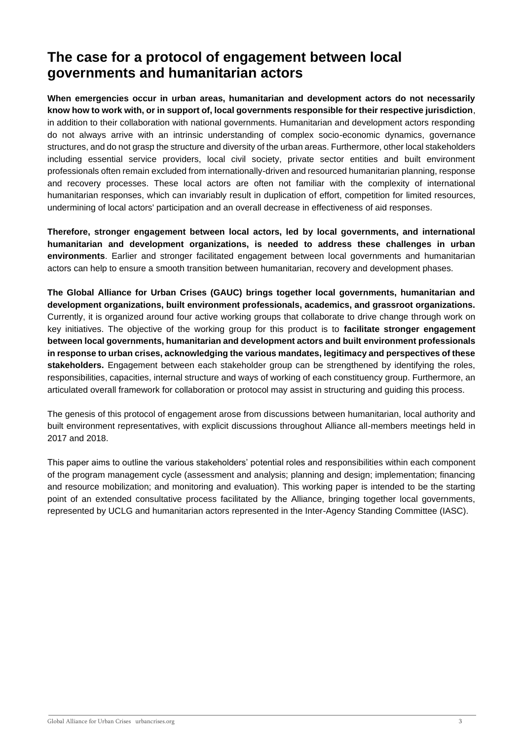# **The case for a protocol of engagement between local governments and humanitarian actors**

**When emergencies occur in urban areas, humanitarian and development actors do not necessarily know how to work with, or in support of, local governments responsible for their respective jurisdiction**, in addition to their collaboration with national governments. Humanitarian and development actors responding do not always arrive with an intrinsic understanding of complex socio-economic dynamics, governance structures, and do not grasp the structure and diversity of the urban areas. Furthermore, other local stakeholders including essential service providers, local civil society, private sector entities and built environment professionals often remain excluded from internationally-driven and resourced humanitarian planning, response and recovery processes. These local actors are often not familiar with the complexity of international humanitarian responses, which can invariably result in duplication of effort, competition for limited resources, undermining of local actors' participation and an overall decrease in effectiveness of aid responses.

**Therefore, stronger engagement between local actors, led by local governments, and international humanitarian and development organizations, is needed to address these challenges in urban environments**. Earlier and stronger facilitated engagement between local governments and humanitarian actors can help to ensure a smooth transition between humanitarian, recovery and development phases.

**The Global Alliance for Urban Crises (GAUC) brings together local governments, humanitarian and development organizations, built environment professionals, academics, and grassroot organizations.** Currently, it is organized around four active working groups that collaborate to drive change through work on key initiatives. The objective of the working group for this product is to **facilitate stronger engagement between local governments, humanitarian and development actors and built environment professionals in response to urban crises, acknowledging the various mandates, legitimacy and perspectives of these stakeholders.** Engagement between each stakeholder group can be strengthened by identifying the roles, responsibilities, capacities, internal structure and ways of working of each constituency group. Furthermore, an articulated overall framework for collaboration or protocol may assist in structuring and guiding this process.

The genesis of this protocol of engagement arose from discussions between humanitarian, local authority and built environment representatives, with explicit discussions throughout Alliance all-members meetings held in 2017 and 2018.

This paper aims to outline the various stakeholders' potential roles and responsibilities within each component of the program management cycle (assessment and analysis; planning and design; implementation; financing and resource mobilization; and monitoring and evaluation). This working paper is intended to be the starting point of an extended consultative process facilitated by the Alliance, bringing together local governments, represented by UCLG and humanitarian actors represented in the Inter-Agency Standing Committee (IASC).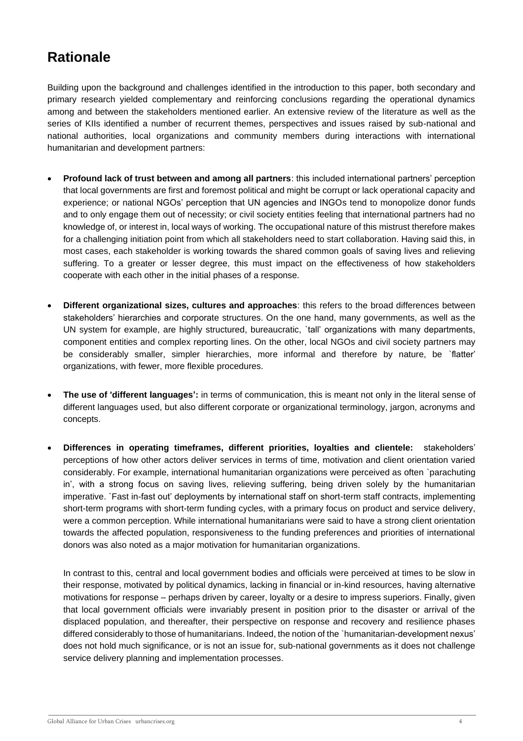# **Rationale**

Building upon the background and challenges identified in the introduction to this paper, both secondary and primary research yielded complementary and reinforcing conclusions regarding the operational dynamics among and between the stakeholders mentioned earlier. An extensive review of the literature as well as the series of KIIs identified a number of recurrent themes, perspectives and issues raised by sub-national and national authorities, local organizations and community members during interactions with international humanitarian and development partners:

- **Profound lack of trust between and among all partners**: this included international partners' perception that local governments are first and foremost political and might be corrupt or lack operational capacity and experience; or national NGOs' perception that UN agencies and INGOs tend to monopolize donor funds and to only engage them out of necessity; or civil society entities feeling that international partners had no knowledge of, or interest in, local ways of working. The occupational nature of this mistrust therefore makes for a challenging initiation point from which all stakeholders need to start collaboration. Having said this, in most cases, each stakeholder is working towards the shared common goals of saving lives and relieving suffering. To a greater or lesser degree, this must impact on the effectiveness of how stakeholders cooperate with each other in the initial phases of a response.
- **Different organizational sizes, cultures and approaches**: this refers to the broad differences between stakeholders' hierarchies and corporate structures. On the one hand, many governments, as well as the UN system for example, are highly structured, bureaucratic, `tall' organizations with many departments, component entities and complex reporting lines. On the other, local NGOs and civil society partners may be considerably smaller, simpler hierarchies, more informal and therefore by nature, be `flatter' organizations, with fewer, more flexible procedures.
- **The use of 'different languages':** in terms of communication, this is meant not only in the literal sense of different languages used, but also different corporate or organizational terminology, jargon, acronyms and concepts.
- **Differences in operating timeframes, different priorities, loyalties and clientele:** stakeholders' perceptions of how other actors deliver services in terms of time, motivation and client orientation varied considerably. For example, international humanitarian organizations were perceived as often `parachuting in', with a strong focus on saving lives, relieving suffering, being driven solely by the humanitarian imperative. `Fast in-fast out' deployments by international staff on short-term staff contracts, implementing short-term programs with short-term funding cycles, with a primary focus on product and service delivery, were a common perception. While international humanitarians were said to have a strong client orientation towards the affected population, responsiveness to the funding preferences and priorities of international donors was also noted as a major motivation for humanitarian organizations.

In contrast to this, central and local government bodies and officials were perceived at times to be slow in their response, motivated by political dynamics, lacking in financial or in-kind resources, having alternative motivations for response – perhaps driven by career, loyalty or a desire to impress superiors. Finally, given that local government officials were invariably present in position prior to the disaster or arrival of the displaced population, and thereafter, their perspective on response and recovery and resilience phases differed considerably to those of humanitarians. Indeed, the notion of the `humanitarian-development nexus' does not hold much significance, or is not an issue for, sub-national governments as it does not challenge service delivery planning and implementation processes.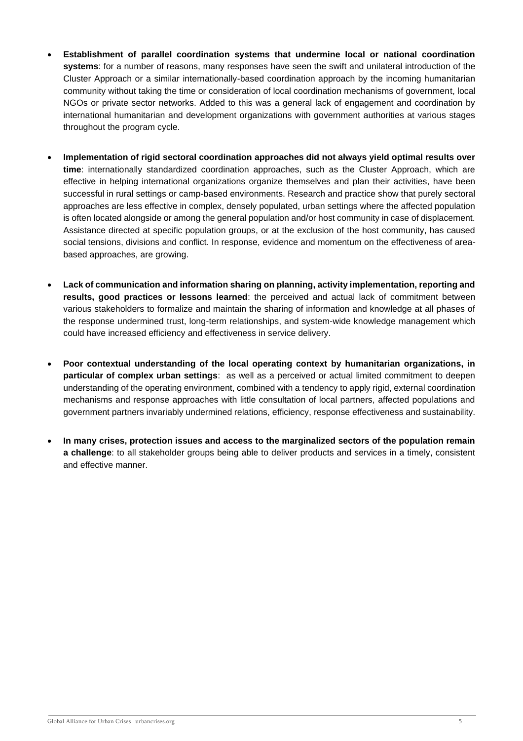- **Establishment of parallel coordination systems that undermine local or national coordination systems**: for a number of reasons, many responses have seen the swift and unilateral introduction of the Cluster Approach or a similar internationally-based coordination approach by the incoming humanitarian community without taking the time or consideration of local coordination mechanisms of government, local NGOs or private sector networks. Added to this was a general lack of engagement and coordination by international humanitarian and development organizations with government authorities at various stages throughout the program cycle.
- **Implementation of rigid sectoral coordination approaches did not always yield optimal results over time**: internationally standardized coordination approaches, such as the Cluster Approach, which are effective in helping international organizations organize themselves and plan their activities, have been successful in rural settings or camp-based environments. Research and practice show that purely sectoral approaches are less effective in complex, densely populated, urban settings where the affected population is often located alongside or among the general population and/or host community in case of displacement. Assistance directed at specific population groups, or at the exclusion of the host community, has caused social tensions, divisions and conflict. In response, evidence and momentum on the effectiveness of areabased approaches, are growing.
- **Lack of communication and information sharing on planning, activity implementation, reporting and results, good practices or lessons learned**: the perceived and actual lack of commitment between various stakeholders to formalize and maintain the sharing of information and knowledge at all phases of the response undermined trust, long-term relationships, and system-wide knowledge management which could have increased efficiency and effectiveness in service delivery.
- **Poor contextual understanding of the local operating context by humanitarian organizations, in particular of complex urban settings**: as well as a perceived or actual limited commitment to deepen understanding of the operating environment, combined with a tendency to apply rigid, external coordination mechanisms and response approaches with little consultation of local partners, affected populations and government partners invariably undermined relations, efficiency, response effectiveness and sustainability.
- **In many crises, protection issues and access to the marginalized sectors of the population remain a challenge**: to all stakeholder groups being able to deliver products and services in a timely, consistent and effective manner.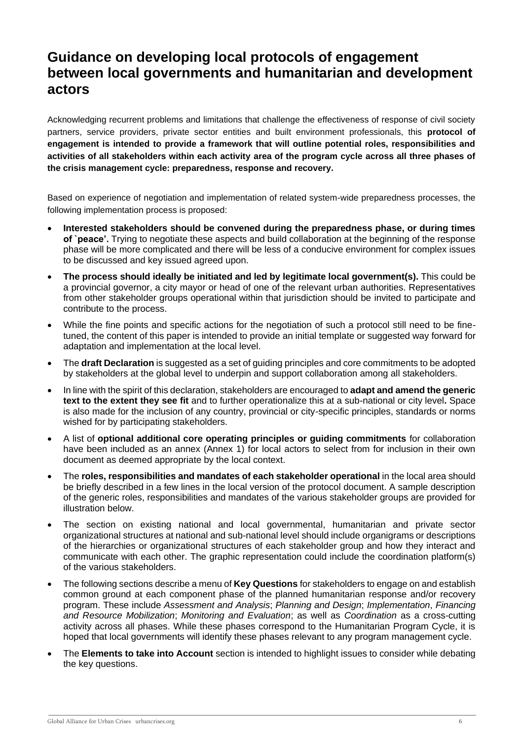# **Guidance on developing local protocols of engagement between local governments and humanitarian and development actors**

Acknowledging recurrent problems and limitations that challenge the effectiveness of response of civil society partners, service providers, private sector entities and built environment professionals, this **protocol of engagement is intended to provide a framework that will outline potential roles, responsibilities and activities of all stakeholders within each activity area of the program cycle across all three phases of the crisis management cycle: preparedness, response and recovery.** 

Based on experience of negotiation and implementation of related system-wide preparedness processes, the following implementation process is proposed:

- **Interested stakeholders should be convened during the preparedness phase, or during times of `peace'.** Trying to negotiate these aspects and build collaboration at the beginning of the response phase will be more complicated and there will be less of a conducive environment for complex issues to be discussed and key issued agreed upon.
- **The process should ideally be initiated and led by legitimate local government(s).** This could be a provincial governor, a city mayor or head of one of the relevant urban authorities. Representatives from other stakeholder groups operational within that jurisdiction should be invited to participate and contribute to the process.
- While the fine points and specific actions for the negotiation of such a protocol still need to be finetuned, the content of this paper is intended to provide an initial template or suggested way forward for adaptation and implementation at the local level.
- The **draft Declaration** is suggested as a set of guiding principles and core commitments to be adopted by stakeholders at the global level to underpin and support collaboration among all stakeholders.
- In line with the spirit of this declaration, stakeholders are encouraged to **adapt and amend the generic text to the extent they see fit** and to further operationalize this at a sub-national or city level**.** Space is also made for the inclusion of any country, provincial or city-specific principles, standards or norms wished for by participating stakeholders.
- A list of **optional additional core operating principles or guiding commitments** for collaboration have been included as an annex (Annex 1) for local actors to select from for inclusion in their own document as deemed appropriate by the local context.
- The **roles, responsibilities and mandates of each stakeholder operational** in the local area should be briefly described in a few lines in the local version of the protocol document. A sample description of the generic roles, responsibilities and mandates of the various stakeholder groups are provided for illustration below.
- The section on existing national and local governmental, humanitarian and private sector organizational structures at national and sub-national level should include organigrams or descriptions of the hierarchies or organizational structures of each stakeholder group and how they interact and communicate with each other. The graphic representation could include the coordination platform(s) of the various stakeholders.
- The following sections describe a menu of **Key Questions** for stakeholders to engage on and establish common ground at each component phase of the planned humanitarian response and/or recovery program. These include *Assessment and Analysis*; *Planning and Design*; *Implementation*, *Financing and Resource Mobilization*; *Monitoring and Evaluation*; as well as *Coordination* as a cross-cutting activity across all phases. While these phases correspond to the Humanitarian Program Cycle, it is hoped that local governments will identify these phases relevant to any program management cycle.
- The **Elements to take into Account** section is intended to highlight issues to consider while debating the key questions.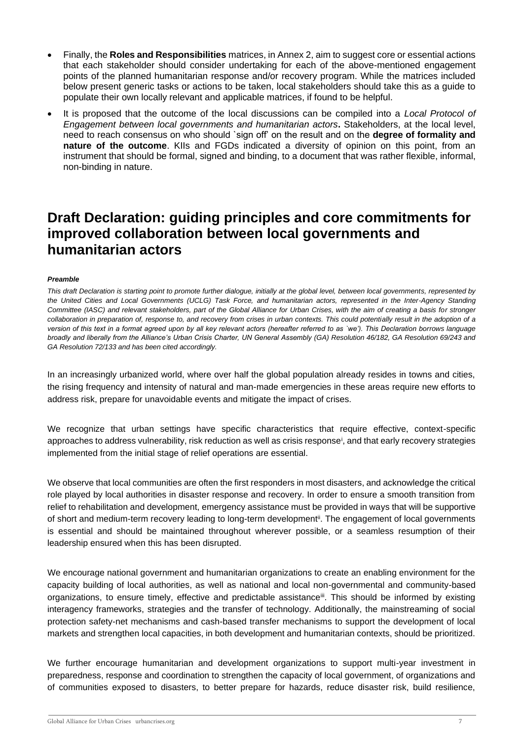- Finally, the **Roles and Responsibilities** matrices, in Annex 2, aim to suggest core or essential actions that each stakeholder should consider undertaking for each of the above-mentioned engagement points of the planned humanitarian response and/or recovery program. While the matrices included below present generic tasks or actions to be taken, local stakeholders should take this as a guide to populate their own locally relevant and applicable matrices, if found to be helpful.
- It is proposed that the outcome of the local discussions can be compiled into a *Local Protocol of Engagement between local governments and humanitarian actors***.** Stakeholders, at the local level, need to reach consensus on who should `sign off' on the result and on the **degree of formality and nature of the outcome**. KIIs and FGDs indicated a diversity of opinion on this point, from an instrument that should be formal, signed and binding, to a document that was rather flexible, informal, non-binding in nature.

# **Draft Declaration: guiding principles and core commitments for improved collaboration between local governments and humanitarian actors**

#### *Preamble*

*This draft Declaration is starting point to promote further dialogue, initially at the global level, between local governments, represented by the United Cities and Local Governments (UCLG) Task Force, and humanitarian actors, represented in the Inter-Agency Standing Committee (IASC) and relevant stakeholders, part of the Global Alliance for Urban Crises, with the aim of creating a basis for stronger collaboration in preparation of, response to, and recovery from crises in urban contexts. This could potentially result in the adoption of a version of this text in a format agreed upon by all key relevant actors (hereafter referred to as `we'). This Declaration borrows language broadly and liberally from the Alliance's Urban Crisis Charter, UN General Assembly (GA) Resolution 46/182, GA Resolution 69/243 and GA Resolution 72/133 and has been cited accordingly.* 

In an increasingly urbanized world, where over half the global population already resides in towns and cities, the rising frequency and intensity of natural and man-made emergencies in these areas require new efforts to address risk, prepare for unavoidable events and mitigate the impact of crises.

We recognize that urban settings have specific characteristics that require effective, context-specific approaches to address vulnerability, risk reduction as well as crisis response<sup>i</sup> , and that early recovery strategies implemented from the initial stage of relief operations are essential.

We observe that local communities are often the first responders in most disasters, and acknowledge the critical role played by local authorities in disaster response and recovery. In order to ensure a smooth transition from relief to rehabilitation and development, emergency assistance must be provided in ways that will be supportive of short and medium-term recovery leading to long-term development<sup>ii</sup>. The engagement of local governments is essential and should be maintained throughout wherever possible, or a seamless resumption of their leadership ensured when this has been disrupted.

We encourage national government and humanitarian organizations to create an enabling environment for the capacity building of local authorities, as well as national and local non-governmental and community-based organizations, to ensure timely, effective and predictable assistance<sup>ii</sup>. This should be informed by existing interagency frameworks, strategies and the transfer of technology. Additionally, the mainstreaming of social protection safety-net mechanisms and cash-based transfer mechanisms to support the development of local markets and strengthen local capacities, in both development and humanitarian contexts, should be prioritized.

We further encourage humanitarian and development organizations to support multi-year investment in preparedness, response and coordination to strengthen the capacity of local government, of organizations and of communities exposed to disasters, to better prepare for hazards, reduce disaster risk, build resilience,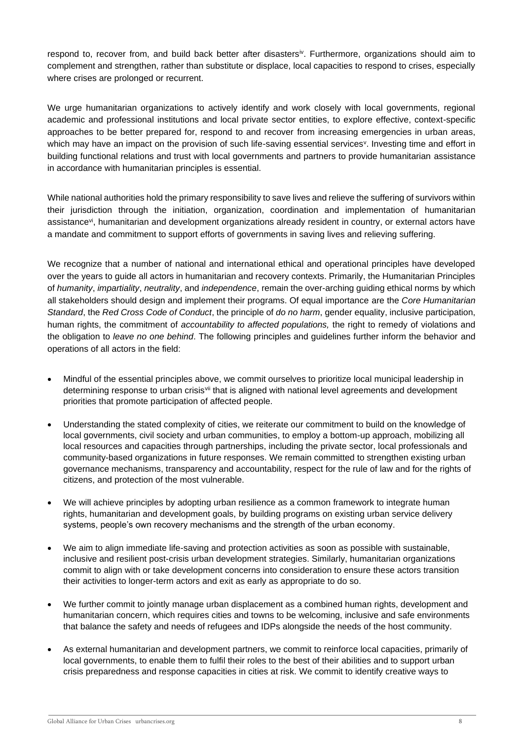respond to, recover from, and build back better after disastersiv. Furthermore, organizations should aim to complement and strengthen, rather than substitute or displace, local capacities to respond to crises, especially where crises are prolonged or recurrent.

We urge humanitarian organizations to actively identify and work closely with local governments, regional academic and professional institutions and local private sector entities, to explore effective, context-specific approaches to be better prepared for, respond to and recover from increasing emergencies in urban areas, which may have an impact on the provision of such life-saving essential services<sup>v</sup>. Investing time and effort in building functional relations and trust with local governments and partners to provide humanitarian assistance in accordance with humanitarian principles is essential.

While national authorities hold the primary responsibility to save lives and relieve the suffering of survivors within their jurisdiction through the initiation, organization, coordination and implementation of humanitarian assistance<sup>vi</sup>, humanitarian and development organizations already resident in country, or external actors have a mandate and commitment to support efforts of governments in saving lives and relieving suffering.

We recognize that a number of national and international ethical and operational principles have developed over the years to guide all actors in humanitarian and recovery contexts. Primarily, the Humanitarian Principles of *humanity*, *impartiality*, *neutrality*, and *independence*, remain the over-arching guiding ethical norms by which all stakeholders should design and implement their programs. Of equal importance are the *Core Humanitarian Standard*, the *Red Cross Code of Conduct*, the principle of *do no harm*, gender equality, inclusive participation, human rights, the commitment of *accountability to affected populations,* the right to remedy of violations and the obligation to *leave no one behind*. The following principles and guidelines further inform the behavior and operations of all actors in the field:

- Mindful of the essential principles above, we commit ourselves to prioritize local municipal leadership in determining response to urban crisis<sup>vii</sup> that is aligned with national level agreements and development priorities that promote participation of affected people.
- Understanding the stated complexity of cities, we reiterate our commitment to build on the knowledge of local governments, civil society and urban communities, to employ a bottom-up approach, mobilizing all local resources and capacities through partnerships, including the private sector, local professionals and community-based organizations in future responses. We remain committed to strengthen existing urban governance mechanisms, transparency and accountability, respect for the rule of law and for the rights of citizens, and protection of the most vulnerable.
- We will achieve principles by adopting urban resilience as a common framework to integrate human rights, humanitarian and development goals, by building programs on existing urban service delivery systems, people's own recovery mechanisms and the strength of the urban economy.
- We aim to align immediate life-saving and protection activities as soon as possible with sustainable, inclusive and resilient post-crisis urban development strategies. Similarly, humanitarian organizations commit to align with or take development concerns into consideration to ensure these actors transition their activities to longer-term actors and exit as early as appropriate to do so.
- We further commit to jointly manage urban displacement as a combined human rights, development and humanitarian concern, which requires cities and towns to be welcoming, inclusive and safe environments that balance the safety and needs of refugees and IDPs alongside the needs of the host community.
- As external humanitarian and development partners, we commit to reinforce local capacities, primarily of local governments, to enable them to fulfil their roles to the best of their abilities and to support urban crisis preparedness and response capacities in cities at risk. We commit to identify creative ways to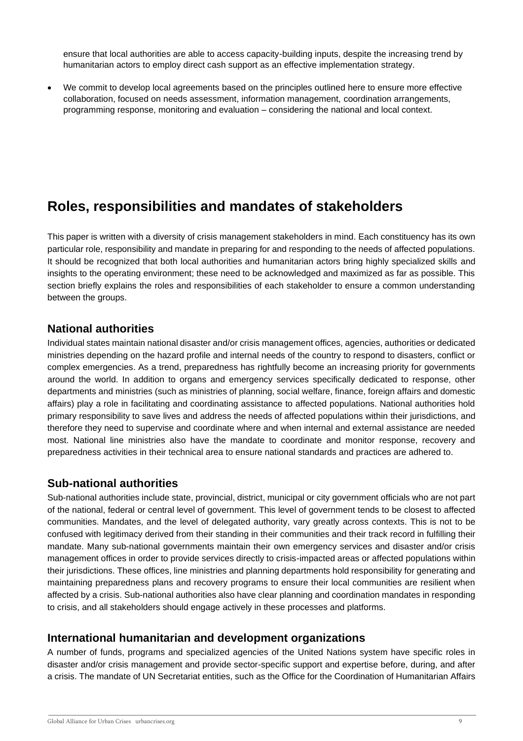ensure that local authorities are able to access capacity-building inputs, despite the increasing trend by humanitarian actors to employ direct cash support as an effective implementation strategy.

• We commit to develop local agreements based on the principles outlined here to ensure more effective collaboration, focused on needs assessment, information management, coordination arrangements, programming response, monitoring and evaluation – considering the national and local context.

# **Roles, responsibilities and mandates of stakeholders**

This paper is written with a diversity of crisis management stakeholders in mind. Each constituency has its own particular role, responsibility and mandate in preparing for and responding to the needs of affected populations. It should be recognized that both local authorities and humanitarian actors bring highly specialized skills and insights to the operating environment; these need to be acknowledged and maximized as far as possible. This section briefly explains the roles and responsibilities of each stakeholder to ensure a common understanding between the groups.

## **National authorities**

Individual states maintain national disaster and/or crisis management offices, agencies, authorities or dedicated ministries depending on the hazard profile and internal needs of the country to respond to disasters, conflict or complex emergencies. As a trend, preparedness has rightfully become an increasing priority for governments around the world. In addition to organs and emergency services specifically dedicated to response, other departments and ministries (such as ministries of planning, social welfare, finance, foreign affairs and domestic affairs) play a role in facilitating and coordinating assistance to affected populations. National authorities hold primary responsibility to save lives and address the needs of affected populations within their jurisdictions, and therefore they need to supervise and coordinate where and when internal and external assistance are needed most. National line ministries also have the mandate to coordinate and monitor response, recovery and preparedness activities in their technical area to ensure national standards and practices are adhered to.

## **Sub-national authorities**

Sub-national authorities include state, provincial, district, municipal or city government officials who are not part of the national, federal or central level of government. This level of government tends to be closest to affected communities. Mandates, and the level of delegated authority, vary greatly across contexts. This is not to be confused with legitimacy derived from their standing in their communities and their track record in fulfilling their mandate. Many sub-national governments maintain their own emergency services and disaster and/or crisis management offices in order to provide services directly to crisis-impacted areas or affected populations within their jurisdictions. These offices, line ministries and planning departments hold responsibility for generating and maintaining preparedness plans and recovery programs to ensure their local communities are resilient when affected by a crisis. Sub-national authorities also have clear planning and coordination mandates in responding to crisis, and all stakeholders should engage actively in these processes and platforms.

## **International humanitarian and development organizations**

A number of funds, programs and specialized agencies of the United Nations system have specific roles in disaster and/or crisis management and provide sector-specific support and expertise before, during, and after a crisis. The mandate of UN Secretariat entities, such as the Office for the Coordination of Humanitarian Affairs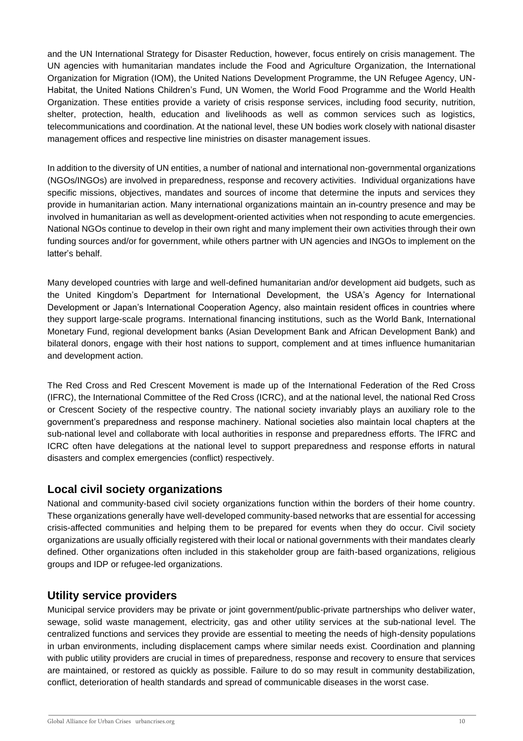and the UN International Strategy for Disaster Reduction, however, focus entirely on crisis management. The UN agencies with humanitarian mandates include the Food and Agriculture Organization, the International Organization for Migration (IOM), the United Nations Development Programme, the UN Refugee Agency, UN-Habitat, the United Nations Children's Fund, UN Women, the World Food Programme and the World Health Organization. These entities provide a variety of crisis response services, including food security, nutrition, shelter, protection, health, education and livelihoods as well as common services such as logistics, telecommunications and coordination. At the national level, these UN bodies work closely with national disaster management offices and respective line ministries on disaster management issues.

In addition to the diversity of UN entities, a number of national and international non-governmental organizations (NGOs/INGOs) are involved in preparedness, response and recovery activities. Individual organizations have specific missions, objectives, mandates and sources of income that determine the inputs and services they provide in humanitarian action. Many international organizations maintain an in-country presence and may be involved in humanitarian as well as development-oriented activities when not responding to acute emergencies. National NGOs continue to develop in their own right and many implement their own activities through their own funding sources and/or for government, while others partner with UN agencies and INGOs to implement on the latter's behalf.

Many developed countries with large and well-defined humanitarian and/or development aid budgets, such as the United Kingdom's Department for International Development, the USA's Agency for International Development or Japan's International Cooperation Agency, also maintain resident offices in countries where they support large-scale programs. International financing institutions, such as the World Bank, International Monetary Fund, regional development banks (Asian Development Bank and African Development Bank) and bilateral donors, engage with their host nations to support, complement and at times influence humanitarian and development action.

The Red Cross and Red Crescent Movement is made up of the International Federation of the Red Cross (IFRC), the International Committee of the Red Cross (ICRC), and at the national level, the national Red Cross or Crescent Society of the respective country. The national society invariably plays an auxiliary role to the government's preparedness and response machinery. National societies also maintain local chapters at the sub-national level and collaborate with local authorities in response and preparedness efforts. The IFRC and ICRC often have delegations at the national level to support preparedness and response efforts in natural disasters and complex emergencies (conflict) respectively.

## **Local civil society organizations**

National and community-based civil society organizations function within the borders of their home country. These organizations generally have well-developed community-based networks that are essential for accessing crisis-affected communities and helping them to be prepared for events when they do occur. Civil society organizations are usually officially registered with their local or national governments with their mandates clearly defined. Other organizations often included in this stakeholder group are faith-based organizations, religious groups and IDP or refugee-led organizations.

## **Utility service providers**

Municipal service providers may be private or joint government/public-private partnerships who deliver water, sewage, solid waste management, electricity, gas and other utility services at the sub-national level. The centralized functions and services they provide are essential to meeting the needs of high-density populations in urban environments, including displacement camps where similar needs exist. Coordination and planning with public utility providers are crucial in times of preparedness, response and recovery to ensure that services are maintained, or restored as quickly as possible. Failure to do so may result in community destabilization, conflict, deterioration of health standards and spread of communicable diseases in the worst case.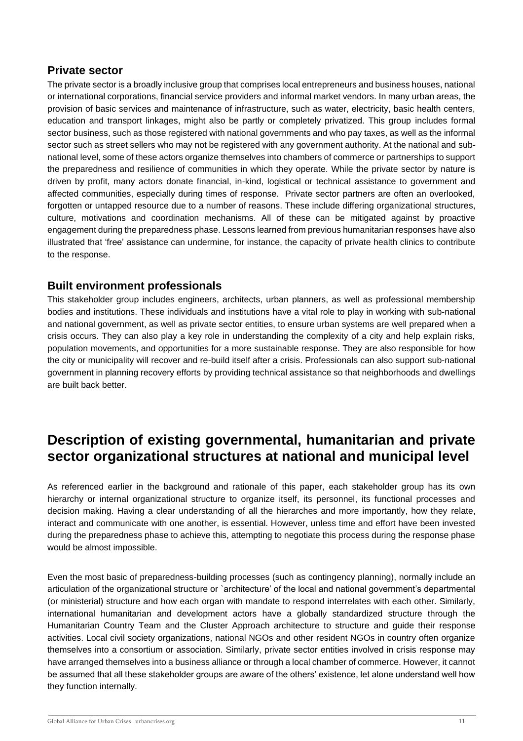## **Private sector**

The private sector is a broadly inclusive group that comprises local entrepreneurs and business houses, national or international corporations, financial service providers and informal market vendors. In many urban areas, the provision of basic services and maintenance of infrastructure, such as water, electricity, basic health centers, education and transport linkages, might also be partly or completely privatized. This group includes formal sector business, such as those registered with national governments and who pay taxes, as well as the informal sector such as street sellers who may not be registered with any government authority. At the national and subnational level, some of these actors organize themselves into chambers of commerce or partnerships to support the preparedness and resilience of communities in which they operate. While the private sector by nature is driven by profit, many actors donate financial, in-kind, logistical or technical assistance to government and affected communities, especially during times of response. Private sector partners are often an overlooked, forgotten or untapped resource due to a number of reasons. These include differing organizational structures, culture, motivations and coordination mechanisms. All of these can be mitigated against by proactive engagement during the preparedness phase. Lessons learned from previous humanitarian responses have also illustrated that 'free' assistance can undermine, for instance, the capacity of private health clinics to contribute to the response.

## **Built environment professionals**

This stakeholder group includes engineers, architects, urban planners, as well as professional membership bodies and institutions. These individuals and institutions have a vital role to play in working with sub-national and national government, as well as private sector entities, to ensure urban systems are well prepared when a crisis occurs. They can also play a key role in understanding the complexity of a city and help explain risks, population movements, and opportunities for a more sustainable response. They are also responsible for how the city or municipality will recover and re-build itself after a crisis. Professionals can also support sub-national government in planning recovery efforts by providing technical assistance so that neighborhoods and dwellings are built back better.

# **Description of existing governmental, humanitarian and private sector organizational structures at national and municipal level**

As referenced earlier in the background and rationale of this paper, each stakeholder group has its own hierarchy or internal organizational structure to organize itself, its personnel, its functional processes and decision making. Having a clear understanding of all the hierarches and more importantly, how they relate, interact and communicate with one another, is essential. However, unless time and effort have been invested during the preparedness phase to achieve this, attempting to negotiate this process during the response phase would be almost impossible.

Even the most basic of preparedness-building processes (such as contingency planning), normally include an articulation of the organizational structure or `architecture' of the local and national government's departmental (or ministerial) structure and how each organ with mandate to respond interrelates with each other. Similarly, international humanitarian and development actors have a globally standardized structure through the Humanitarian Country Team and the Cluster Approach architecture to structure and guide their response activities. Local civil society organizations, national NGOs and other resident NGOs in country often organize themselves into a consortium or association. Similarly, private sector entities involved in crisis response may have arranged themselves into a business alliance or through a local chamber of commerce. However, it cannot be assumed that all these stakeholder groups are aware of the others' existence, let alone understand well how they function internally.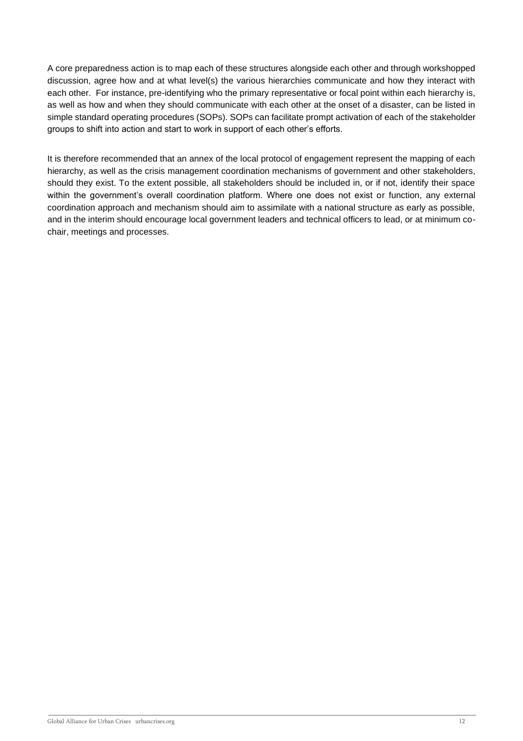A core preparedness action is to map each of these structures alongside each other and through workshopped discussion, agree how and at what level(s) the various hierarchies communicate and how they interact with each other. For instance, pre-identifying who the primary representative or focal point within each hierarchy is, as well as how and when they should communicate with each other at the onset of a disaster, can be listed in simple standard operating procedures (SOPs). SOPs can facilitate prompt activation of each of the stakeholder groups to shift into action and start to work in support of each other's efforts.

It is therefore recommended that an annex of the local protocol of engagement represent the mapping of each hierarchy, as well as the crisis management coordination mechanisms of government and other stakeholders, should they exist. To the extent possible, all stakeholders should be included in, or if not, identify their space within the government's overall coordination platform. Where one does not exist or function, any external coordination approach and mechanism should aim to assimilate with a national structure as early as possible, and in the interim should encourage local government leaders and technical officers to lead, or at minimum cochair, meetings and processes.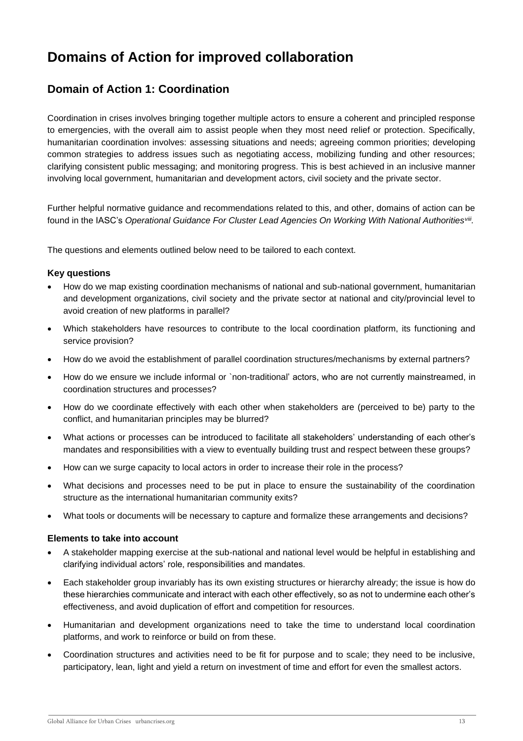# **Domains of Action for improved collaboration**

## **Domain of Action 1: Coordination**

Coordination in crises involves bringing together multiple actors to ensure a coherent and principled response to emergencies, with the overall aim to assist people when they most need relief or protection. Specifically, humanitarian coordination involves: assessing situations and needs; agreeing common priorities; developing common strategies to address issues such as negotiating access, mobilizing funding and other resources; clarifying consistent public messaging; and monitoring progress. This is best achieved in an inclusive manner involving local government, humanitarian and development actors, civil society and the private sector.

Further helpful normative guidance and recommendations related to this, and other, domains of action can be found in the IASC's *Operational Guidance For Cluster Lead Agencies On Working With National Authoritiesviii .*

The questions and elements outlined below need to be tailored to each context.

#### **Key questions**

- How do we map existing coordination mechanisms of national and sub-national government, humanitarian and development organizations, civil society and the private sector at national and city/provincial level to avoid creation of new platforms in parallel?
- Which stakeholders have resources to contribute to the local coordination platform, its functioning and service provision?
- How do we avoid the establishment of parallel coordination structures/mechanisms by external partners?
- How do we ensure we include informal or `non-traditional' actors, who are not currently mainstreamed, in coordination structures and processes?
- How do we coordinate effectively with each other when stakeholders are (perceived to be) party to the conflict, and humanitarian principles may be blurred?
- What actions or processes can be introduced to facilitate all stakeholders' understanding of each other's mandates and responsibilities with a view to eventually building trust and respect between these groups?
- How can we surge capacity to local actors in order to increase their role in the process?
- What decisions and processes need to be put in place to ensure the sustainability of the coordination structure as the international humanitarian community exits?
- What tools or documents will be necessary to capture and formalize these arrangements and decisions?

- A stakeholder mapping exercise at the sub-national and national level would be helpful in establishing and clarifying individual actors' role, responsibilities and mandates.
- Each stakeholder group invariably has its own existing structures or hierarchy already; the issue is how do these hierarchies communicate and interact with each other effectively, so as not to undermine each other's effectiveness, and avoid duplication of effort and competition for resources.
- Humanitarian and development organizations need to take the time to understand local coordination platforms, and work to reinforce or build on from these.
- Coordination structures and activities need to be fit for purpose and to scale; they need to be inclusive, participatory, lean, light and yield a return on investment of time and effort for even the smallest actors.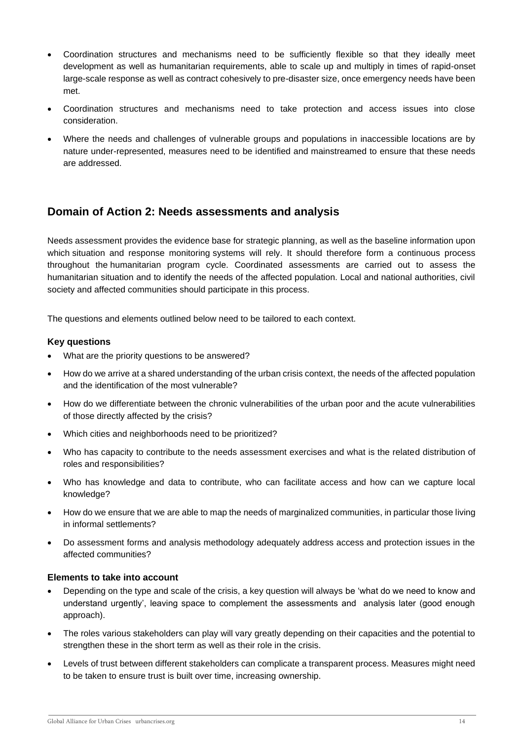- Coordination structures and mechanisms need to be sufficiently flexible so that they ideally meet development as well as humanitarian requirements, able to scale up and multiply in times of rapid-onset large-scale response as well as contract cohesively to pre-disaster size, once emergency needs have been met.
- Coordination structures and mechanisms need to take protection and access issues into close consideration.
- Where the needs and challenges of vulnerable groups and populations in inaccessible locations are by nature under-represented, measures need to be identified and mainstreamed to ensure that these needs are addressed.

## **Domain of Action 2: Needs assessments and analysis**

Needs assessment provides the evidence base for [strategic planning,](https://www.humanitarianresponse.info/programme-cycle/space/page/strategic-response-planning) as well as the baseline information upon which [situation and response monitoring](https://www.humanitarianresponse.info/programme-cycle/space/page/monitoring-overview) systems will rely. It should therefore form a continuous process throughout the [humanitarian program cycle.](https://www.humanitarianresponse.info/programme-cycle/space/page/www.humanitarianresponse.info/hpc) Coordinated assessments are carried out to assess the humanitarian situation and to identify the needs of the affected population. Local and national authorities, civil society and affected communities should participate in this process.

The questions and elements outlined below need to be tailored to each context.

#### **Key questions**

- What are the priority questions to be answered?
- How do we arrive at a shared understanding of the urban crisis context, the needs of the affected population and the identification of the most vulnerable?
- How do we differentiate between the chronic vulnerabilities of the urban poor and the acute vulnerabilities of those directly affected by the crisis?
- Which cities and neighborhoods need to be prioritized?
- Who has capacity to contribute to the needs assessment exercises and what is the related distribution of roles and responsibilities?
- Who has knowledge and data to contribute, who can facilitate access and how can we capture local knowledge?
- How do we ensure that we are able to map the needs of marginalized communities, in particular those living in informal settlements?
- Do assessment forms and analysis methodology adequately address access and protection issues in the affected communities?

- Depending on the type and scale of the crisis, a key question will always be 'what do we need to know and understand urgently', leaving space to complement the assessments and analysis later (good enough approach).
- The roles various stakeholders can play will vary greatly depending on their capacities and the potential to strengthen these in the short term as well as their role in the crisis.
- Levels of trust between different stakeholders can complicate a transparent process. Measures might need to be taken to ensure trust is built over time, increasing ownership.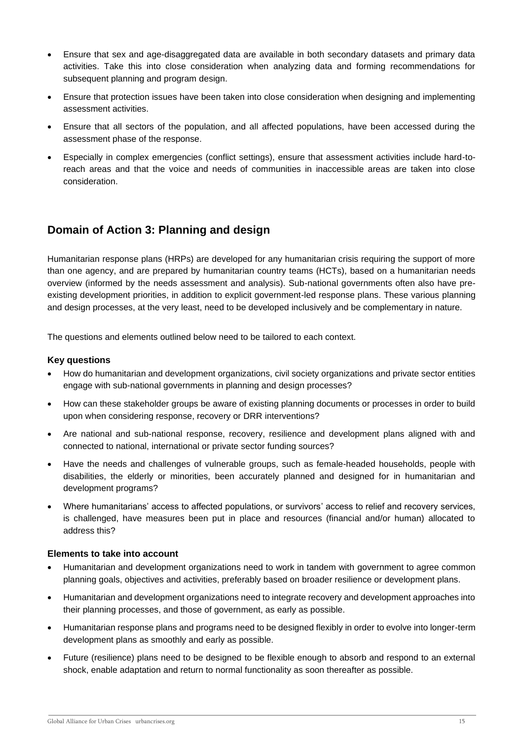- Ensure that sex and age-disaggregated data are available in both secondary datasets and primary data activities. Take this into close consideration when analyzing data and forming recommendations for subsequent planning and program design.
- Ensure that protection issues have been taken into close consideration when designing and implementing assessment activities.
- Ensure that all sectors of the population, and all affected populations, have been accessed during the assessment phase of the response.
- Especially in complex emergencies (conflict settings), ensure that assessment activities include hard-toreach areas and that the voice and needs of communities in inaccessible areas are taken into close consideration.

## **Domain of Action 3: Planning and design**

Humanitarian response plans (HRPs) are developed for any humanitarian crisis requiring the support of more than one agency, and are prepared by humanitarian country teams (HCTs), based on a [humanitarian needs](https://www.humanitarianresponse.info/programme-cycle/space/page/assessments-overview)  [overview](https://www.humanitarianresponse.info/programme-cycle/space/page/assessments-overview) (informed by the needs assessment and analysis). Sub-national governments often also have preexisting development priorities, in addition to explicit government-led response plans. These various planning and design processes, at the very least, need to be developed inclusively and be complementary in nature.

The questions and elements outlined below need to be tailored to each context.

#### **Key questions**

- How do humanitarian and development organizations, civil society organizations and private sector entities engage with sub-national governments in planning and design processes?
- How can these stakeholder groups be aware of existing planning documents or processes in order to build upon when considering response, recovery or DRR interventions?
- Are national and sub-national response, recovery, resilience and development plans aligned with and connected to national, international or private sector funding sources?
- Have the needs and challenges of vulnerable groups, such as female-headed households, people with disabilities, the elderly or minorities, been accurately planned and designed for in humanitarian and development programs?
- Where humanitarians' access to affected populations, or survivors' access to relief and recovery services, is challenged, have measures been put in place and resources (financial and/or human) allocated to address this?

- Humanitarian and development organizations need to work in tandem with government to agree common planning goals, objectives and activities, preferably based on broader resilience or development plans.
- Humanitarian and development organizations need to integrate recovery and development approaches into their planning processes, and those of government, as early as possible.
- Humanitarian response plans and programs need to be designed flexibly in order to evolve into longer-term development plans as smoothly and early as possible.
- Future (resilience) plans need to be designed to be flexible enough to absorb and respond to an external shock, enable adaptation and return to normal functionality as soon thereafter as possible.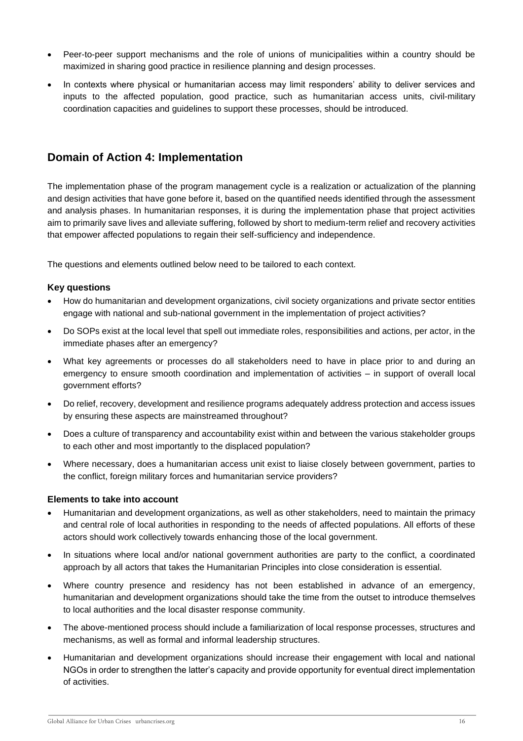- Peer-to-peer support mechanisms and the role of unions of municipalities within a country should be maximized in sharing good practice in resilience planning and design processes.
- In contexts where physical or humanitarian access may limit responders' ability to deliver services and inputs to the affected population, good practice, such as humanitarian access units, civil-military coordination capacities and guidelines to support these processes, should be introduced.

## **Domain of Action 4: Implementation**

The implementation phase of the program management cycle is a realization or actualization of the planning and design activities that have gone before it, based on the quantified needs identified through the assessment and analysis phases. In humanitarian responses, it is during the implementation phase that project activities aim to primarily save lives and alleviate suffering, followed by short to medium-term relief and recovery activities that empower affected populations to regain their self-sufficiency and independence.

The questions and elements outlined below need to be tailored to each context.

#### **Key questions**

- How do humanitarian and development organizations, civil society organizations and private sector entities engage with national and sub-national government in the implementation of project activities?
- Do SOPs exist at the local level that spell out immediate roles, responsibilities and actions, per actor, in the immediate phases after an emergency?
- What key agreements or processes do all stakeholders need to have in place prior to and during an emergency to ensure smooth coordination and implementation of activities – in support of overall local government efforts?
- Do relief, recovery, development and resilience programs adequately address protection and access issues by ensuring these aspects are mainstreamed throughout?
- Does a culture of transparency and accountability exist within and between the various stakeholder groups to each other and most importantly to the displaced population?
- Where necessary, does a humanitarian access unit exist to liaise closely between government, parties to the conflict, foreign military forces and humanitarian service providers?

- Humanitarian and development organizations, as well as other stakeholders, need to maintain the primacy and central role of local authorities in responding to the needs of affected populations. All efforts of these actors should work collectively towards enhancing those of the local government.
- In situations where local and/or national government authorities are party to the conflict, a coordinated approach by all actors that takes the Humanitarian Principles into close consideration is essential.
- Where country presence and residency has not been established in advance of an emergency, humanitarian and development organizations should take the time from the outset to introduce themselves to local authorities and the local disaster response community.
- The above-mentioned process should include a familiarization of local response processes, structures and mechanisms, as well as formal and informal leadership structures.
- Humanitarian and development organizations should increase their engagement with local and national NGOs in order to strengthen the latter's capacity and provide opportunity for eventual direct implementation of activities.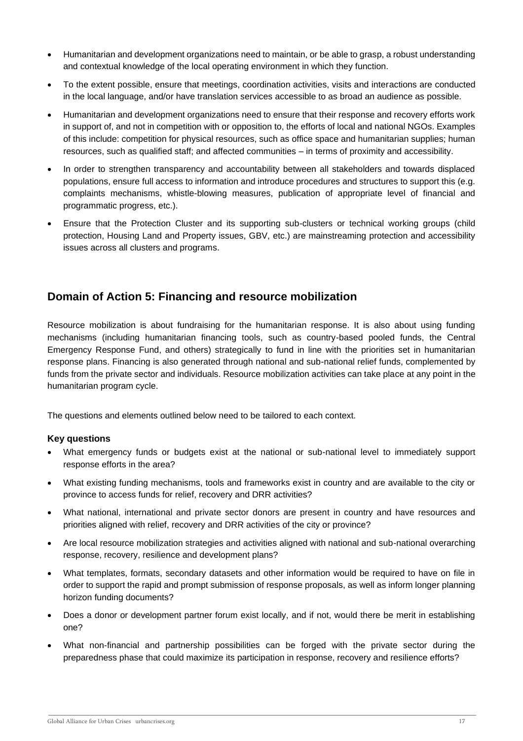- Humanitarian and development organizations need to maintain, or be able to grasp, a robust understanding and contextual knowledge of the local operating environment in which they function.
- To the extent possible, ensure that meetings, coordination activities, visits and interactions are conducted in the local language, and/or have translation services accessible to as broad an audience as possible.
- Humanitarian and development organizations need to ensure that their response and recovery efforts work in support of, and not in competition with or opposition to, the efforts of local and national NGOs. Examples of this include: competition for physical resources, such as office space and humanitarian supplies; human resources, such as qualified staff; and affected communities – in terms of proximity and accessibility.
- In order to strengthen transparency and accountability between all stakeholders and towards displaced populations, ensure full access to information and introduce procedures and structures to support this (e.g. complaints mechanisms, whistle-blowing measures, publication of appropriate level of financial and programmatic progress, etc.).
- Ensure that the Protection Cluster and its supporting sub-clusters or technical working groups (child protection, Housing Land and Property issues, GBV, etc.) are mainstreaming protection and accessibility issues across all clusters and programs.

## **Domain of Action 5: Financing and resource mobilization**

Resource mobilization is about fundraising for the humanitarian response. It is also about using funding mechanisms (including humanitarian financing tools, such as country-based pooled funds, the Central Emergency Response Fund, and others) strategically to fund in line with the priorities set in humanitarian response plans. Financing is also generated through national and sub-national relief funds, complemented by funds from the private sector and individuals. Resource mobilization activities can take place at any point in the humanitarian program cycle.

The questions and elements outlined below need to be tailored to each context.

#### **Key questions**

- What emergency funds or budgets exist at the national or sub-national level to immediately support response efforts in the area?
- What existing funding mechanisms, tools and frameworks exist in country and are available to the city or province to access funds for relief, recovery and DRR activities?
- What national, international and private sector donors are present in country and have resources and priorities aligned with relief, recovery and DRR activities of the city or province?
- Are local resource mobilization strategies and activities aligned with national and sub-national overarching response, recovery, resilience and development plans?
- What templates, formats, secondary datasets and other information would be required to have on file in order to support the rapid and prompt submission of response proposals, as well as inform longer planning horizon funding documents?
- Does a donor or development partner forum exist locally, and if not, would there be merit in establishing one?
- What non-financial and partnership possibilities can be forged with the private sector during the preparedness phase that could maximize its participation in response, recovery and resilience efforts?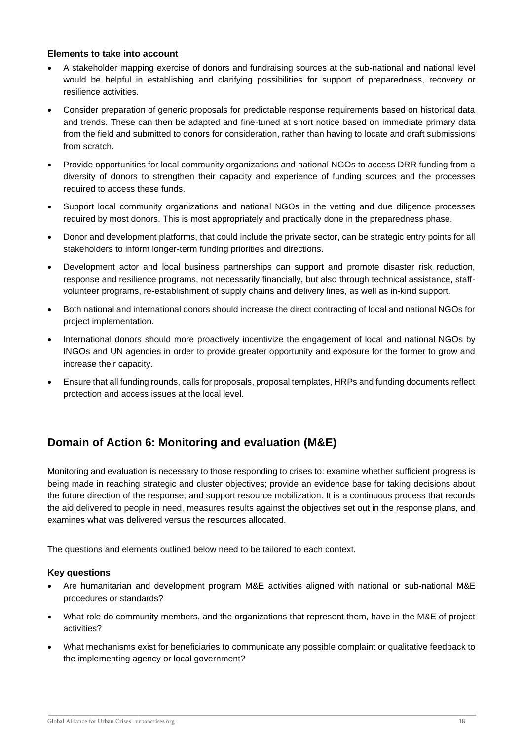#### **Elements to take into account**

- A stakeholder mapping exercise of donors and fundraising sources at the sub-national and national level would be helpful in establishing and clarifying possibilities for support of preparedness, recovery or resilience activities.
- Consider preparation of generic proposals for predictable response requirements based on historical data and trends. These can then be adapted and fine-tuned at short notice based on immediate primary data from the field and submitted to donors for consideration, rather than having to locate and draft submissions from scratch.
- Provide opportunities for local community organizations and national NGOs to access DRR funding from a diversity of donors to strengthen their capacity and experience of funding sources and the processes required to access these funds.
- Support local community organizations and national NGOs in the vetting and due diligence processes required by most donors. This is most appropriately and practically done in the preparedness phase.
- Donor and development platforms, that could include the private sector, can be strategic entry points for all stakeholders to inform longer-term funding priorities and directions.
- Development actor and local business partnerships can support and promote disaster risk reduction, response and resilience programs, not necessarily financially, but also through technical assistance, staffvolunteer programs, re-establishment of supply chains and delivery lines, as well as in-kind support.
- Both national and international donors should increase the direct contracting of local and national NGOs for project implementation.
- International donors should more proactively incentivize the engagement of local and national NGOs by INGOs and UN agencies in order to provide greater opportunity and exposure for the former to grow and increase their capacity.
- Ensure that all funding rounds, calls for proposals, proposal templates, HRPs and funding documents reflect protection and access issues at the local level.

## **Domain of Action 6: Monitoring and evaluation (M&E)**

Monitoring and evaluation is necessary to those responding to crises to: examine whether sufficient progress is being made in reaching strategic and cluster objectives; provide an evidence base for taking decisions about the future direction of the response; and support resource mobilization. It is a continuous process that records the aid delivered to people in need, measures results against the objectives set out in the response plans, and examines what was delivered versus the resources allocated.

The questions and elements outlined below need to be tailored to each context.

#### **Key questions**

- Are humanitarian and development program M&E activities aligned with national or sub-national M&E procedures or standards?
- What role do community members, and the organizations that represent them, have in the M&E of project activities?
- What mechanisms exist for beneficiaries to communicate any possible complaint or qualitative feedback to the implementing agency or local government?